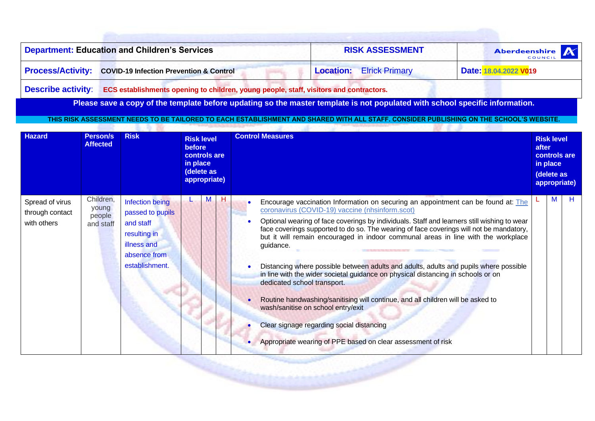| <b>Department: Education and Children's Services</b>                 | <b>RISK ASSESSMENT</b>          | Aberdeenshire         |  |  |  |  |
|----------------------------------------------------------------------|---------------------------------|-----------------------|--|--|--|--|
| <b>Process/Activity: COVID-19 Infection Prevention &amp; Control</b> | <b>Location:</b> Elrick Primary | Date: 18.04.2022 V019 |  |  |  |  |
|                                                                      |                                 |                       |  |  |  |  |

**Describe activity**: **ECS establishments opening to children, young people, staff, visitors and contractors.**

-5.76

Please save a copy of the template before updating so the master template is not populated with school specific information.

**THIS RISK ASSESSMENT NEEDS TO BE TAILORED TO EACH ESTABLISHMENT AND SHARED WITH ALL STAFF. CONSIDER PUBLISHING ON THE SCHOOL'S WEBSITE.**

| <b>Hazard</b>                                     | Person/s<br><b>Affected</b>               | <b>Risk</b>                                                                                                       | <b>Risk level</b><br><b>before</b><br>controls are<br>in place<br>(delete as<br>appropriate) | <b>Control Measures</b>                                                                                                                                                                                                                                                                                                                                                                                                                                                                                                                                                                                                                                                                                                                                                                                                                                                                         | after | <b>Risk level</b><br>in place<br>(delete as | controls are<br>appropriate) |
|---------------------------------------------------|-------------------------------------------|-------------------------------------------------------------------------------------------------------------------|----------------------------------------------------------------------------------------------|-------------------------------------------------------------------------------------------------------------------------------------------------------------------------------------------------------------------------------------------------------------------------------------------------------------------------------------------------------------------------------------------------------------------------------------------------------------------------------------------------------------------------------------------------------------------------------------------------------------------------------------------------------------------------------------------------------------------------------------------------------------------------------------------------------------------------------------------------------------------------------------------------|-------|---------------------------------------------|------------------------------|
| Spread of virus<br>through contact<br>with others | Children,<br>young<br>people<br>and staff | Infection being<br>passed to pupils<br>and staff<br>resulting in<br>illness and<br>absence from<br>establishment. | н                                                                                            | Encourage vaccination Information on securing an appointment can be found at: The<br>coronavirus (COVID-19) vaccine (nhsinform.scot)<br>Optional wearing of face coverings by individuals. Staff and learners still wishing to wear<br>face coverings supported to do so. The wearing of face coverings will not be mandatory,<br>but it will remain encouraged in indoor communal areas in line with the workplace<br>guidance.<br>Distancing where possible between adults and adults, adults and pupils where possible<br>in line with the wider societal guidance on physical distancing in schools or on<br>dedicated school transport.<br>Routine handwashing/sanitising will continue, and all children will be asked to<br>$\bullet$<br>wash/sanitise on school entry/exit<br>Clear signage regarding social distancing<br>Appropriate wearing of PPE based on clear assessment of risk |       | М                                           | H                            |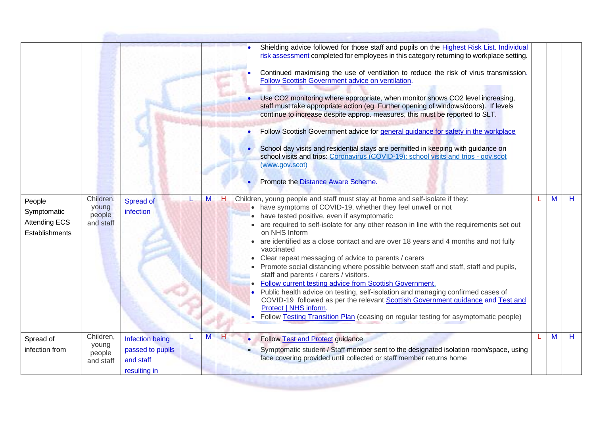|                                                                 |                                           |                                                                              |   | Shielding advice followed for those staff and pupils on the Highest Risk List. Individual<br>risk assessment completed for employees in this category returning to workplace setting.                                                                                                                                                                                                                                                                                                                                                                                                                                                                                                                                                                                                                                                                                                                                                                        |   |   |
|-----------------------------------------------------------------|-------------------------------------------|------------------------------------------------------------------------------|---|--------------------------------------------------------------------------------------------------------------------------------------------------------------------------------------------------------------------------------------------------------------------------------------------------------------------------------------------------------------------------------------------------------------------------------------------------------------------------------------------------------------------------------------------------------------------------------------------------------------------------------------------------------------------------------------------------------------------------------------------------------------------------------------------------------------------------------------------------------------------------------------------------------------------------------------------------------------|---|---|
|                                                                 |                                           |                                                                              |   | Continued maximising the use of ventilation to reduce the risk of virus transmission.<br>Follow Scottish Government advice on ventilation.                                                                                                                                                                                                                                                                                                                                                                                                                                                                                                                                                                                                                                                                                                                                                                                                                   |   |   |
|                                                                 |                                           |                                                                              |   | Use CO2 monitoring where appropriate, when monitor shows CO2 level increasing,<br>staff must take appropriate action (eg. Further opening of windows/doors). If levels<br>continue to increase despite approp. measures, this must be reported to SLT.                                                                                                                                                                                                                                                                                                                                                                                                                                                                                                                                                                                                                                                                                                       |   |   |
|                                                                 |                                           |                                                                              |   | Follow Scottish Government advice for general guidance for safety in the workplace                                                                                                                                                                                                                                                                                                                                                                                                                                                                                                                                                                                                                                                                                                                                                                                                                                                                           |   |   |
|                                                                 |                                           |                                                                              |   | School day visits and residential stays are permitted in keeping with guidance on<br>school visits and trips: Coronavirus (COVID-19): school visits and trips - gov.scot<br>(www.gov.scot)                                                                                                                                                                                                                                                                                                                                                                                                                                                                                                                                                                                                                                                                                                                                                                   |   |   |
|                                                                 |                                           |                                                                              |   | Promote the Distance Aware Scheme.                                                                                                                                                                                                                                                                                                                                                                                                                                                                                                                                                                                                                                                                                                                                                                                                                                                                                                                           |   |   |
| People<br>Symptomatic<br><b>Attending ECS</b><br>Establishments | Children,<br>young<br>people<br>and staff | M<br>Spread of<br>infection                                                  | H | Children, young people and staff must stay at home and self-isolate if they:<br>• have symptoms of COVID-19, whether they feel unwell or not<br>• have tested positive, even if asymptomatic<br>• are required to self-isolate for any other reason in line with the requirements set out<br>on NHS Inform<br>• are identified as a close contact and are over 18 years and 4 months and not fully<br>vaccinated<br>Clear repeat messaging of advice to parents / carers<br>Promote social distancing where possible between staff and staff, staff and pupils,<br>staff and parents / carers / visitors.<br>Follow current testing advice from Scottish Government.<br>Public health advice on testing, self-isolation and managing confirmed cases of<br>COVID-19 followed as per the relevant Scottish Government guidance and Test and<br>Protect   NHS inform.<br>• Follow Testing Transition Plan (ceasing on regular testing for asymptomatic people) | M | H |
| Spread of<br>infection from                                     | Children,<br>young<br>people<br>and staff | M<br><b>Infection being</b><br>passed to pupils<br>and staff<br>resulting in | н | Follow Test and Protect guidance<br>Symptomatic student / Staff member sent to the designated isolation room/space, using<br>face covering provided until collected or staff member returns home                                                                                                                                                                                                                                                                                                                                                                                                                                                                                                                                                                                                                                                                                                                                                             | M | H |
|                                                                 |                                           |                                                                              |   |                                                                                                                                                                                                                                                                                                                                                                                                                                                                                                                                                                                                                                                                                                                                                                                                                                                                                                                                                              |   |   |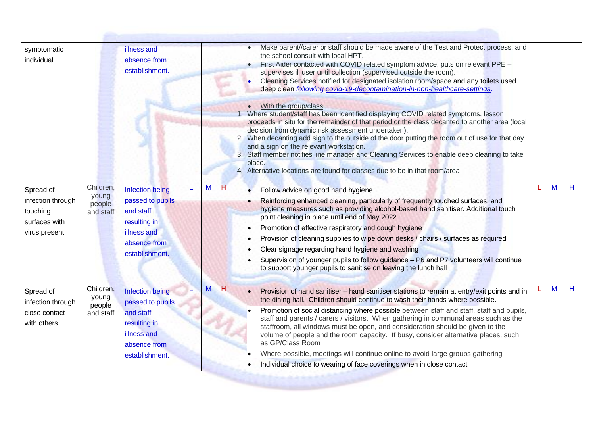| symptomatic<br>individual                                                    |                                           | illness and<br>absence from<br>establishment.                                                                            |   |   |   | Make parent//carer or staff should be made aware of the Test and Protect process, and<br>the school consult with local HPT.<br>First Aider contacted with COVID related symptom advice, puts on relevant PPE -<br>supervises ill user until collection (supervised outside the room).<br>Cleaning Services notified for designated isolation room/space and any toilets used<br>deep clean following covid-19-decontamination-in-non-healthcare-settings.<br>• With the group/class<br>1. Where student/staff has been identified displaying COVID related symptoms, lesson<br>proceeds in situ for the remainder of that period or the class decanted to another area (local<br>decision from dynamic risk assessment undertaken).<br>2. When decanting add sign to the outside of the door putting the room out of use for that day<br>and a sign on the relevant workstation.<br>3. Staff member notifies line manager and Cleaning Services to enable deep cleaning to take<br>place.<br>4. Alternative locations are found for classes due to be in that room/area |   |    |
|------------------------------------------------------------------------------|-------------------------------------------|--------------------------------------------------------------------------------------------------------------------------|---|---|---|-------------------------------------------------------------------------------------------------------------------------------------------------------------------------------------------------------------------------------------------------------------------------------------------------------------------------------------------------------------------------------------------------------------------------------------------------------------------------------------------------------------------------------------------------------------------------------------------------------------------------------------------------------------------------------------------------------------------------------------------------------------------------------------------------------------------------------------------------------------------------------------------------------------------------------------------------------------------------------------------------------------------------------------------------------------------------|---|----|
| Spread of<br>infection through<br>touching<br>surfaces with<br>virus present | Children,<br>young<br>people<br>and staff | <b>Infection being</b><br>passed to pupils<br>and staff<br>resulting in<br>illness and<br>absence from<br>establishment. |   | M | н | Follow advice on good hand hygiene<br>Reinforcing enhanced cleaning, particularly of frequently touched surfaces, and<br>hygiene measures such as providing alcohol-based hand sanitiser. Additional touch<br>point cleaning in place until end of May 2022.<br>Promotion of effective respiratory and cough hygiene<br>Provision of cleaning supplies to wipe down desks / chairs / surfaces as required<br>Clear signage regarding hand hygiene and washing<br>Supervision of younger pupils to follow guidance - P6 and P7 volunteers will continue<br>to support younger pupils to sanitise on leaving the lunch hall                                                                                                                                                                                                                                                                                                                                                                                                                                               | M | H. |
| Spread of<br>infection through<br>close contact<br>with others               | Children,<br>young<br>people<br>and staff | <b>Infection being</b><br>passed to pupils<br>and staff<br>resulting in<br>illness and<br>absence from<br>establishment. | L | M | H | Provision of hand sanitiser - hand sanitiser stations to remain at entry/exit points and in<br>the dining hall. Children should continue to wash their hands where possible.<br>Promotion of social distancing where possible between staff and staff, staff and pupils,<br>staff and parents / carers / visitors. When gathering in communal areas such as the<br>staffroom, all windows must be open, and consideration should be given to the<br>volume of people and the room capacity. If busy, consider alternative places, such<br>as GP/Class Room<br>Where possible, meetings will continue online to avoid large groups gathering<br>Individual choice to wearing of face coverings when in close contact                                                                                                                                                                                                                                                                                                                                                     | M | H  |